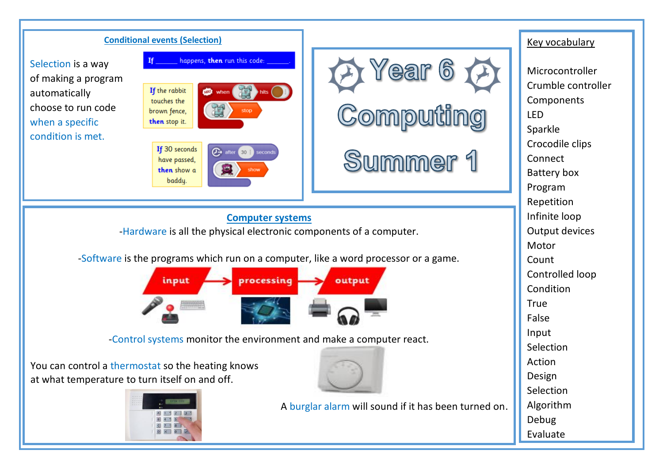